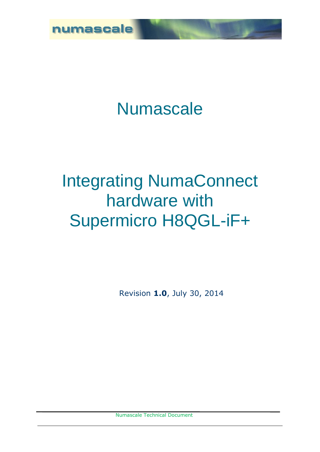

# Numascale

# Integrating NumaConnect hardware with Supermicro H8QGL-iF+

Revision **1.0**, July 30, 2014

Numascale Technical Document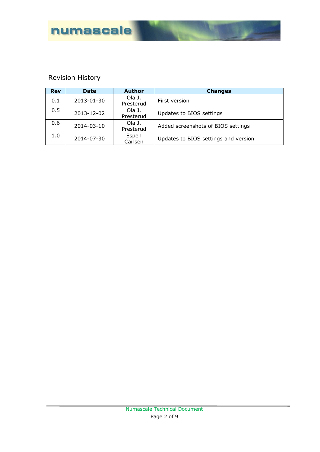

# Revision History

| <b>Rev</b> | <b>Date</b> | <b>Author</b> | <b>Changes</b>                       |  |
|------------|-------------|---------------|--------------------------------------|--|
| 0.1        | 2013-01-30  | Ola J.        | First version                        |  |
|            |             | Presterud     |                                      |  |
| 0.5        | 2013-12-02  | Ola J.        | Updates to BIOS settings             |  |
|            |             | Presterud     |                                      |  |
| 0.6        |             | Ola J.        |                                      |  |
|            | 2014-03-10  | Presterud     | Added screenshots of BIOS settings   |  |
| 1.0        |             | Espen         |                                      |  |
|            | 2014-07-30  | Carlsen       | Updates to BIOS settings and version |  |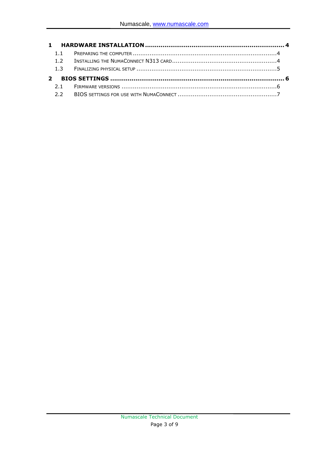| 1.1 |
|-----|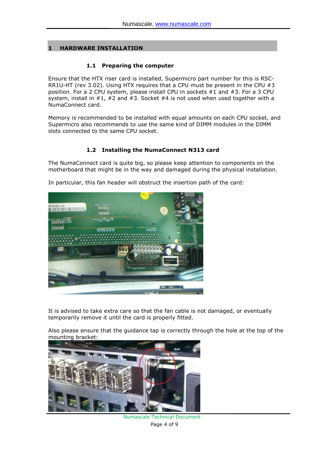## **1 HARDWARE INSTALLATION**

#### **1.1 Preparing the computer**

Ensure that the HTX riser card is installed, Supermicro part number for this is RSC-RR1U-HT (rev 3.02). Using HTX requires that a CPU must be present in the CPU #3 position. For a 2 CPU system, please install CPU in sockets #1 and #3. For a 3 CPU system, install in  $#1$ ,  $#2$  and  $#3$ . Socket  $#4$  is not used when used together with a NumaConnect card.

Memory is recommended to be installed with equal amounts on each CPU socket, and Supermicro also recommends to use the same kind of DIMM modules in the DIMM slots connected to the same CPU socket.

### **1.2 Installing the NumaConnect N313 card**

The NumaConnect card is quite big, so please keep attention to components on the motherboard that might be in the way and damaged during the physical installation.

In particular, this fan header will obstruct the insertion path of the card:



It is advised to take extra care so that the fan cable is not damaged, or eventually temporarily remove it until the card is properly fitted.

Also please ensure that the guidance tap is correctly through the hole at the top of the mounting bracket:



Numascale Technical Document Page 4 of 9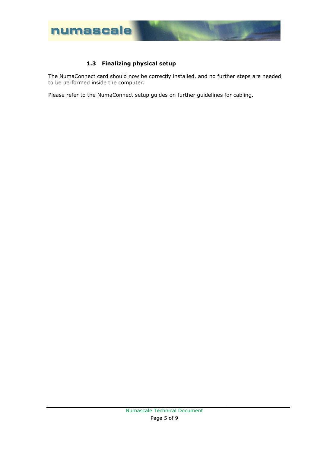

# **1.3 Finalizing physical setup**

The NumaConnect card should now be correctly installed, and no further steps are needed to be performed inside the computer.

Please refer to the NumaConnect setup guides on further guidelines for cabling.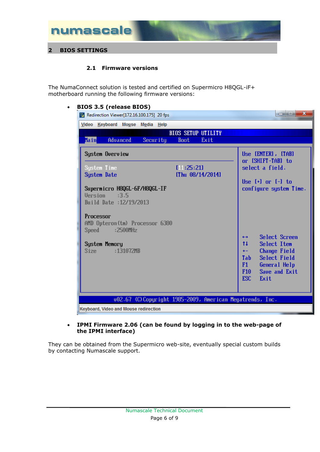

## **2.1 Firmware versions**

The NumaConnect solution is tested and certified on Supermicro H8QGL-iF+ motherboard running the following firmware versions:

#### **BIOS 3.5 (release BIOS)**

| $\overline{\mathbf{x}}$<br>القارب<br>Redirection Viewer[172.16.100.175] 20 fps        |                                                                                                                                            |  |  |  |
|---------------------------------------------------------------------------------------|--------------------------------------------------------------------------------------------------------------------------------------------|--|--|--|
| Video Keyboard Mouse Media Help                                                       |                                                                                                                                            |  |  |  |
| <b>BIOS SETUP UTILITY</b>                                                             |                                                                                                                                            |  |  |  |
| Main<br>Advanced<br>Exit<br>Security<br><b>Boot</b>                                   |                                                                                                                                            |  |  |  |
| System Overview                                                                       | Use [ENTER], [TAB]<br>or [SHIFT-TAB] to<br>select a field.                                                                                 |  |  |  |
| System Time<br>[11:25:21]<br><b>System Date</b><br>[Thu 08/14/2014]                   |                                                                                                                                            |  |  |  |
| Supermicro H8QGL-6F/H8QGL-IF<br>Version<br>$\therefore 3.5$<br>Build Date: 12/19/2013 | Use $\left[\begin{array}{ccc} + \end{array}\right]$ or $\left[\begin{array}{ccc} - \end{array}\right]$ to<br>configure system Time.        |  |  |  |
| Processor<br>AMD Opteron(tm) Processor 6380<br>Speed :2500MHz                         |                                                                                                                                            |  |  |  |
| System Memory                                                                         | Select Screen<br>$\leftrightarrow$<br>t1<br>Select Item                                                                                    |  |  |  |
| Size and<br>:131072MB                                                                 | <b>Change Field</b><br>$+ -$<br><b>Select Field</b><br>Tab<br>F1<br>General Help<br>Save and Exit<br>F <sub>10</sub><br><b>ESC</b><br>Exit |  |  |  |
| 002.67 (C)Copyright 1985-2009, American Megatrends, Inc.                              |                                                                                                                                            |  |  |  |
| Keyboard, Video and Mouse redirection                                                 |                                                                                                                                            |  |  |  |

#### **IPMI Firmware 2.06 (can be found by logging in to the web-page of the IPMI interface)**

They can be obtained from the Supermicro web-site, eventually special custom builds by contacting Numascale support.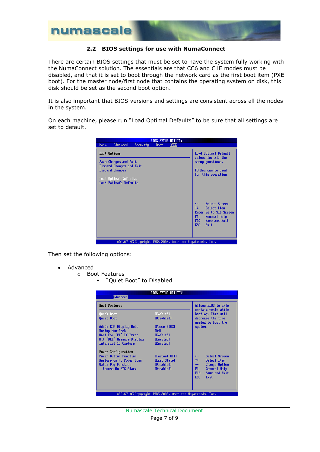

### **2.2 BIOS settings for use with NumaConnect**

There are certain BIOS settings that must be set to have the system fully working with the NumaConnect solution. The essentials are that CC6 and C1E modes must be disabled, and that it is set to boot through the network card as the first boot item (PXE boot). For the master node/first node that contains the operating system on disk, this disk should be set as the second boot option.

It is also important that BIOS versions and settings are consistent across all the nodes in the system.

On each machine, please run "Load Optimal Defaults" to be sure that all settings are set to default.

|                                                   | <b>BIOS SETUP UTILITY</b>                                 |                                                                                                                                                                          |
|---------------------------------------------------|-----------------------------------------------------------|--------------------------------------------------------------------------------------------------------------------------------------------------------------------------|
| Advanced<br><b>Main</b><br>Security               | Exit<br><b>Boot</b>                                       |                                                                                                                                                                          |
| Exit Options                                      | Load Optimal Default<br>values for all the                |                                                                                                                                                                          |
| Save Changes and Exit<br>Discard Changes and Exit |                                                           | setup questions.                                                                                                                                                         |
| <b>Discard Changes</b>                            |                                                           | F9 key can be used<br>for this operation.                                                                                                                                |
| Load Optimal Defaults<br>Load Failsafe Defaults   |                                                           |                                                                                                                                                                          |
|                                                   |                                                           |                                                                                                                                                                          |
|                                                   |                                                           | Select Screen<br>$\leftrightarrow$<br>t1<br>Select Item<br>Enter Go to Sub Screen<br>F1<br>General Help<br>Save and Exit<br>F <sub>10</sub><br>ESC <sub>11</sub><br>Exit |
|                                                   | 002.67 (C) Copyright 1985-2009, American Megatrends, Inc. |                                                                                                                                                                          |

Then set the following options:

- Advanced
	- o Boot Features
		- " "Quiet Boot" to Disabled

| <b>BIOS SETUP UTILITY</b>                                |                                            |                                         |  |  |
|----------------------------------------------------------|--------------------------------------------|-----------------------------------------|--|--|
| Advanced                                                 |                                            |                                         |  |  |
| <b>Boot Features</b>                                     | Allows BIOS to skip<br>certain tests while |                                         |  |  |
| <b>Quick Boot</b>                                        | [Enabled]                                  | booting. This will                      |  |  |
| Quiet Boot                                               | <b>[Disabled]</b>                          | decrease the time<br>needed to boot the |  |  |
| AddOn ROM Display Mode                                   | [Force BIOS]                               | system.                                 |  |  |
| <b>Bootup Num-Lock</b>                                   | [ON]                                       |                                         |  |  |
| Wait For 'F1' If Error                                   | [Enabled]                                  |                                         |  |  |
| Hit 'DEL' Message Display                                | [Enabled]                                  |                                         |  |  |
| Interrupt 19 Capture                                     | [Enabled]                                  |                                         |  |  |
| Power Configuration                                      |                                            |                                         |  |  |
| <b>Power Button Function</b>                             | <b>IInstant Offl</b>                       | Select Screen<br>$\leftrightarrow$      |  |  |
| Restore on AC Power Loss                                 | <b>ILast Statel</b>                        | t1.<br>Select Item                      |  |  |
| Watch Dog Function                                       | [Disabled]                                 | Change Option<br>$+ -$                  |  |  |
| <b>Resume On RTC Alarm</b>                               | [Disabled]                                 | F1<br>General Help                      |  |  |
|                                                          |                                            | F <sub>10</sub><br>Save and Exit        |  |  |
|                                                          |                                            | <b>ESC</b><br>Exit                      |  |  |
|                                                          |                                            |                                         |  |  |
|                                                          |                                            |                                         |  |  |
| 002.67 (C)Copuright 1985-2009, American Megatrends, Inc. |                                            |                                         |  |  |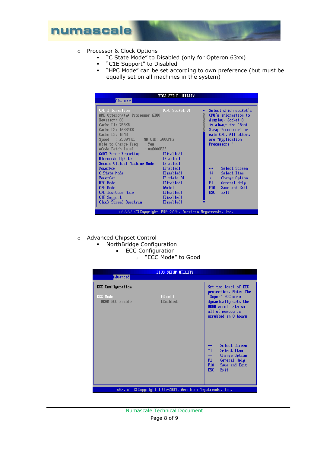

- o Processor & Clock Options
	- " "C State Mode" to Disabled (only for Opteron 63xx)
	- "C1E Support" to Disabled
	- "HPC Mode" can be set according to own preference (but must be equally set on all machines in the system)

| <b>BIOS SETUP UTILITY</b>                                |                            |                   |                       |
|----------------------------------------------------------|----------------------------|-------------------|-----------------------|
| <b>Advanced</b>                                          |                            |                   |                       |
|                                                          |                            |                   |                       |
| <b>CPU Information</b>                                   | <b>EXAMPLE Socket 01</b>   |                   | Select which socket's |
| AMD Opteron(tm) Processor 6380                           |                            |                   | CPU's information to  |
| Revision: CO                                             |                            |                   | display. Socket 0     |
| Cache L1: 768KB                                          |                            |                   | is always the "Boot   |
| Cache L2: 16384KB                                        |                            |                   | Strap Processor" or   |
| $Cache$ $L3:$ $16MB$                                     |                            |                   | main CPU. All others  |
| Speed : 2500MHz, NB C1k: 2000MHz                         |                            |                   | are "Application      |
| Able to Change Freq. : Yes                               |                            |                   | Processors."          |
| uCode Patch Level : 0x6000822                            |                            |                   |                       |
| GART Error Reporting [Disabled]                          |                            |                   |                       |
| Microcode Update                                         | [Enabled]                  |                   |                       |
| Secure Virtual Machine Mode [Enabled]                    |                            |                   |                       |
| <b>PowerNow</b>                                          | [Enabled]                  | $\leftrightarrow$ | Select Screen         |
| C State Mode                                             | [Disabled]                 | 11                | Select Item           |
| PowerCap                                                 | [P-state 0]                | $+ -$             | Change Option         |
| <b>HPC Mode</b>                                          | [Disabled]                 | F1                | General Help          |
| <b>CPB Mode</b>                                          | [Auto]                     | F <sub>10</sub>   | Save and Exit         |
| <b>CPU DownCore Mode</b>                                 | [Disabled]                 | ESC               | Exit                  |
| C <sub>1</sub> E Support                                 | <b>Example 1</b> Disabled1 |                   |                       |
| Clock Spread Spectrum [Disabled]                         |                            |                   |                       |
|                                                          |                            |                   |                       |
| 002.67 (C)Copyright 1985-2009, American Megatrends, Inc. |                            |                   |                       |

- o Advanced Chipset Control
	- NorthBridge Configuration
		- ECC Configuration
			- o "ECC Mode" to Good

| <b>Advanced</b>                    | <b>BIOS SETUP UTILITY</b>                                 |                                                                                                                                                                                                                                                                                                    |
|------------------------------------|-----------------------------------------------------------|----------------------------------------------------------------------------------------------------------------------------------------------------------------------------------------------------------------------------------------------------------------------------------------------------|
| <b>ECC</b> Configuration           |                                                           | Set the level of ECC                                                                                                                                                                                                                                                                               |
| <b>ECC Mode</b><br>DRAM ECC Enable | [Good ]<br>[Enabled]                                      | protection. Note: The<br>'Super' ECC mode<br>dynamically sets the<br>DRAM scrub rate so<br>all of memory is<br>scrubbed in 8 hours.<br>Select Screen<br>$\leftrightarrow$<br>11<br>Select Item<br>Change Option<br>$+ -$<br>F1<br>General Help<br>F <sub>10</sub><br>Save and Exit<br>ESC.<br>Exit |
|                                    | 002.67 (C) Copyright 1985-2009, American Megatrends, Inc. |                                                                                                                                                                                                                                                                                                    |